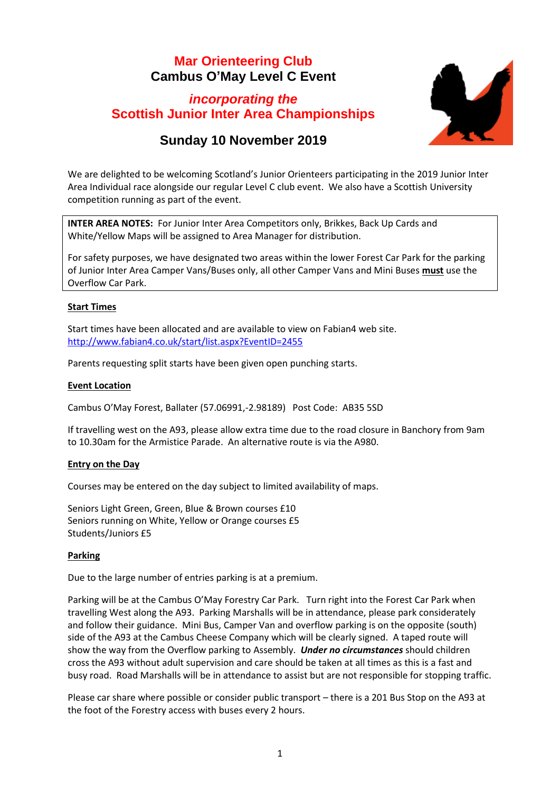# **Mar Orienteering Club Cambus O'May Level C Event**

# *incorporating the* **Scottish Junior Inter Area Championships**



# **Sunday 10 November 2019**

We are delighted to be welcoming Scotland's Junior Orienteers participating in the 2019 Junior Inter Area Individual race alongside our regular Level C club event. We also have a Scottish University competition running as part of the event.

**INTER AREA NOTES:** For Junior Inter Area Competitors only, Brikkes, Back Up Cards and White/Yellow Maps will be assigned to Area Manager for distribution.

For safety purposes, we have designated two areas within the lower Forest Car Park for the parking of Junior Inter Area Camper Vans/Buses only, all other Camper Vans and Mini Buses **must** use the Overflow Car Park.

# **Start Times**

Start times have been allocated and are available to view on Fabian4 web site. <http://www.fabian4.co.uk/start/list.aspx?EventID=2455>

Parents requesting split starts have been given open punching starts.

# **Event Location**

Cambus O'May Forest, Ballater (57.06991,-2.98189) Post Code: AB35 5SD

If travelling west on the A93, please allow extra time due to the road closure in Banchory from 9am to 10.30am for the Armistice Parade. An alternative route is via the A980.

## **Entry on the Day**

Courses may be entered on the day subject to limited availability of maps.

Seniors Light Green, Green, Blue & Brown courses £10 Seniors running on White, Yellow or Orange courses £5 Students/Juniors £5

## **Parking**

Due to the large number of entries parking is at a premium.

Parking will be at the Cambus O'May Forestry Car Park. Turn right into the Forest Car Park when travelling West along the A93. Parking Marshalls will be in attendance, please park considerately and follow their guidance. Mini Bus, Camper Van and overflow parking is on the opposite (south) side of the A93 at the Cambus Cheese Company which will be clearly signed. A taped route will show the way from the Overflow parking to Assembly. *Under no circumstances* should children cross the A93 without adult supervision and care should be taken at all times as this is a fast and busy road. Road Marshalls will be in attendance to assist but are not responsible for stopping traffic.

Please car share where possible or consider public transport – there is a 201 Bus Stop on the A93 at the foot of the Forestry access with buses every 2 hours.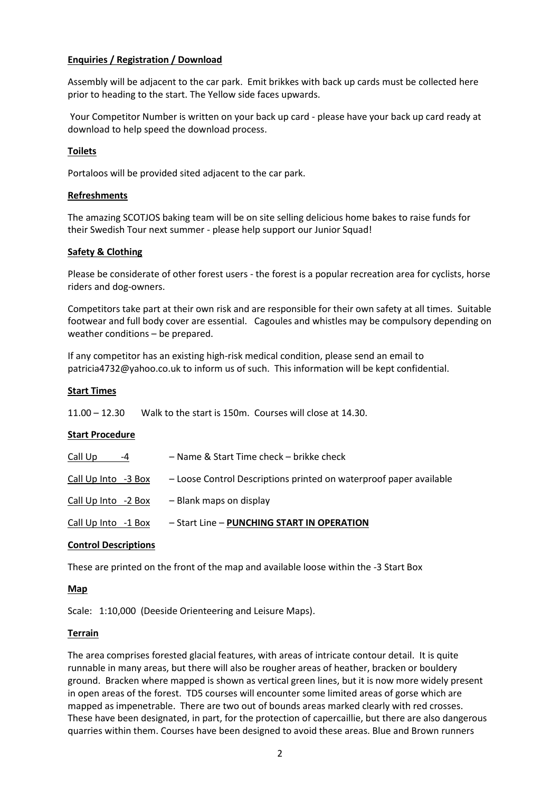# **Enquiries / Registration / Download**

Assembly will be adjacent to the car park. Emit brikkes with back up cards must be collected here prior to heading to the start. The Yellow side faces upwards.

Your Competitor Number is written on your back up card - please have your back up card ready at download to help speed the download process.

## **Toilets**

Portaloos will be provided sited adjacent to the car park.

### **Refreshments**

The amazing SCOTJOS baking team will be on site selling delicious home bakes to raise funds for their Swedish Tour next summer - please help support our Junior Squad!

### **Safety & Clothing**

Please be considerate of other forest users - the forest is a popular recreation area for cyclists, horse riders and dog-owners.

Competitors take part at their own risk and are responsible for their own safety at all times. Suitable footwear and full body cover are essential. Cagoules and whistles may be compulsory depending on weather conditions – be prepared.

If any competitor has an existing high-risk medical condition, please send an email to patricia4732@yahoo.co.uk to inform us of such. This information will be kept confidential.

#### **Start Times**

11.00 – 12.30 Walk to the start is 150m. Courses will close at 14.30.

#### **Start Procedure**

| Call Up<br>$-4$     | – Name & Start Time check – brikke check                           |
|---------------------|--------------------------------------------------------------------|
| Call Up Into -3 Box | - Loose Control Descriptions printed on waterproof paper available |
| Call Up Into -2 Box | - Blank maps on display                                            |
| Call Up Into -1 Box | - Start Line - PUNCHING START IN OPERATION                         |

#### **Control Descriptions**

These are printed on the front of the map and available loose within the -3 Start Box

#### **Map**

Scale: 1:10,000 (Deeside Orienteering and Leisure Maps).

#### **Terrain**

The area comprises forested glacial features, with areas of intricate contour detail. It is quite runnable in many areas, but there will also be rougher areas of heather, bracken or bouldery ground. Bracken where mapped is shown as vertical green lines, but it is now more widely present in open areas of the forest. TD5 courses will encounter some limited areas of gorse which are mapped as impenetrable. There are two out of bounds areas marked clearly with red crosses. These have been designated, in part, for the protection of capercaillie, but there are also dangerous quarries within them. Courses have been designed to avoid these areas. Blue and Brown runners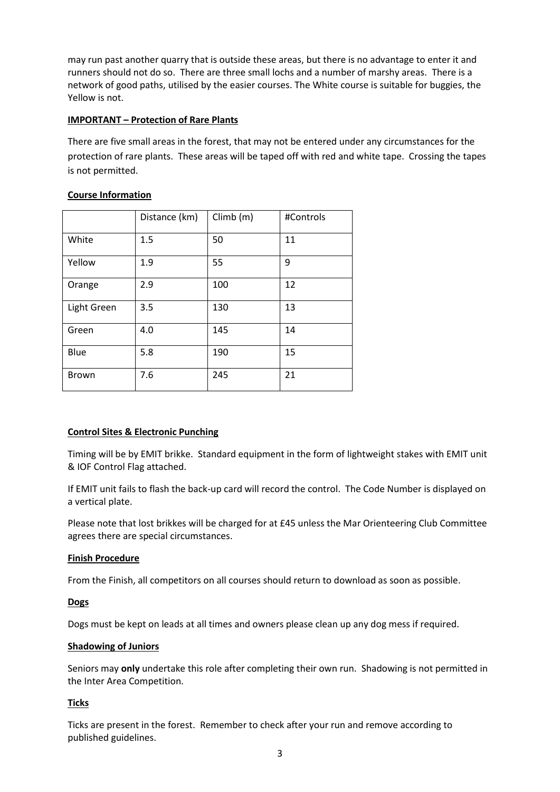may run past another quarry that is outside these areas, but there is no advantage to enter it and runners should not do so. There are three small lochs and a number of marshy areas. There is a network of good paths, utilised by the easier courses. The White course is suitable for buggies, the Yellow is not.

# **IMPORTANT – Protection of Rare Plants**

There are five small areas in the forest, that may not be entered under any circumstances for the protection of rare plants. These areas will be taped off with red and white tape. Crossing the tapes is not permitted.

# **Course Information**

|              | Distance (km) | Climb (m) | #Controls |
|--------------|---------------|-----------|-----------|
| White        | 1.5           | 50        | 11        |
| Yellow       | 1.9           | 55        | 9         |
| Orange       | 2.9           | 100       | 12        |
| Light Green  | 3.5           | 130       | 13        |
| Green        | 4.0           | 145       | 14        |
| Blue         | 5.8           | 190       | 15        |
| <b>Brown</b> | 7.6           | 245       | 21        |

# **Control Sites & Electronic Punching**

Timing will be by EMIT brikke. Standard equipment in the form of lightweight stakes with EMIT unit & IOF Control Flag attached.

If EMIT unit fails to flash the back-up card will record the control. The Code Number is displayed on a vertical plate.

Please note that lost brikkes will be charged for at £45 unless the Mar Orienteering Club Committee agrees there are special circumstances.

## **Finish Procedure**

From the Finish, all competitors on all courses should return to download as soon as possible.

## **Dogs**

Dogs must be kept on leads at all times and owners please clean up any dog mess if required.

## **Shadowing of Juniors**

Seniors may **only** undertake this role after completing their own run. Shadowing is not permitted in the Inter Area Competition.

## **Ticks**

Ticks are present in the forest. Remember to check after your run and remove according to published guidelines.